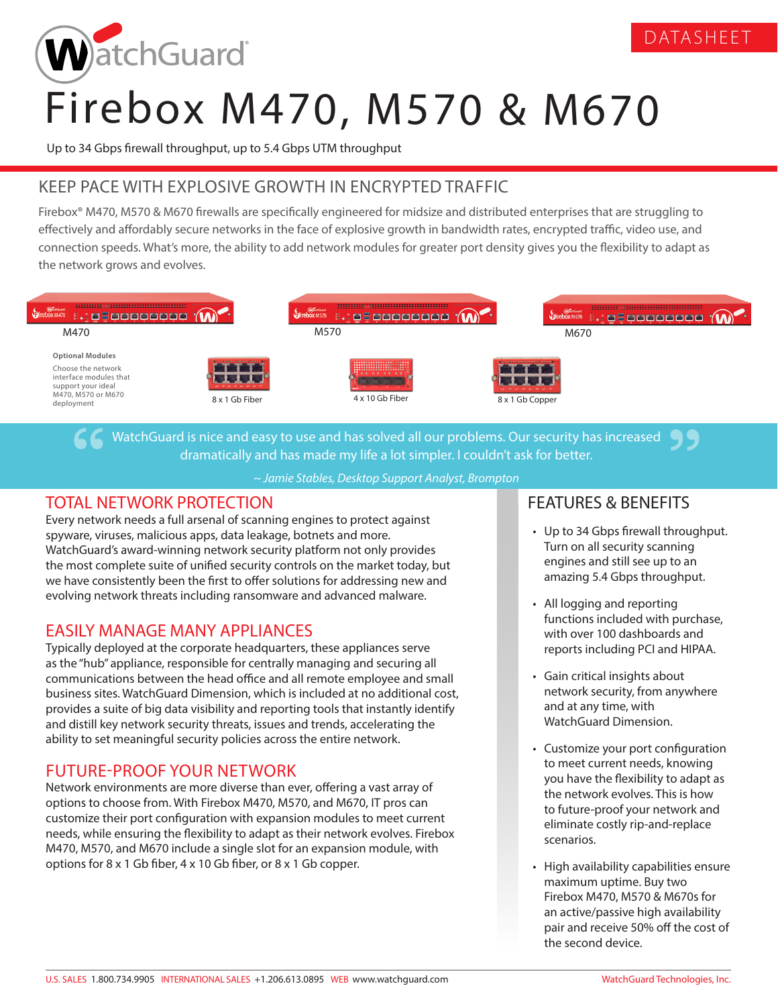

# Firebox M470, M570 & M670

Up to 34 Gbps firewall throughput, up to 5.4 Gbps UTM throughput

# KEEP PACE WITH EXPLOSIVE GROWTH IN ENCRYPTED TRAFFIC

Firebox® M470, M570 & M670 firewalls are specifically engineered for midsize and distributed enterprises that are struggling to effectively and affordably secure networks in the face of explosive growth in bandwidth rates, encrypted traffic, video use, and connection speeds. What's more, the ability to add network modules for greater port density gives you the flexibility to adapt as the network grows and evolves.



WatchGuard is nice and easy to use and has solved all our problems. Our security has increased dramatically and has made my life a lot simpler. I couldn't ask for better.

*~ Jamie Stables, Desktop Support Analyst, Brompton*

#### TOTAL NETWORK PROTECTION

Every network needs a full arsenal of scanning engines to protect against spyware, viruses, malicious apps, data leakage, botnets and more. WatchGuard's award-winning network security platform not only provides the most complete suite of unified security controls on the market today, but we have consistently been the first to offer solutions for addressing new and evolving network threats including ransomware and advanced malware.

#### EASILY MANAGE MANY APPLIANCES

Typically deployed at the corporate headquarters, these appliances serve as the "hub" appliance, responsible for centrally managing and securing all communications between the head office and all remote employee and small business sites. WatchGuard Dimension, which is included at no additional cost, provides a suite of big data visibility and reporting tools that instantly identify and distill key network security threats, issues and trends, accelerating the ability to set meaningful security policies across the entire network.

## FUTURE-PROOF YOUR NETWORK

Network environments are more diverse than ever, offering a vast array of options to choose from. With Firebox M470, M570, and M670, IT pros can customize their port configuration with expansion modules to meet current needs, while ensuring the flexibility to adapt as their network evolves. Firebox M470, M570, and M670 include a single slot for an expansion module, with options for 8 x 1 Gb fiber, 4 x 10 Gb fiber, or 8 x 1 Gb copper.

### FEATURES & BENEFITS

• Up to 34 Gbps firewall throughput. Turn on all security scanning engines and still see up to an amazing 5.4 Gbps throughput.

DATASHEET

- All logging and reporting functions included with purchase, with over 100 dashboards and reports including PCI and HIPAA.
- Gain critical insights about network security, from anywhere and at any time, with WatchGuard Dimension.
- Customize your port configuration to meet current needs, knowing you have the flexibility to adapt as the network evolves. This is how to future-proof your network and eliminate costly rip-and-replace scenarios.
- High availability capabilities ensure maximum uptime. Buy two Firebox M470, M570 & M670s for an active/passive high availability pair and receive 50% off the cost of the second device.